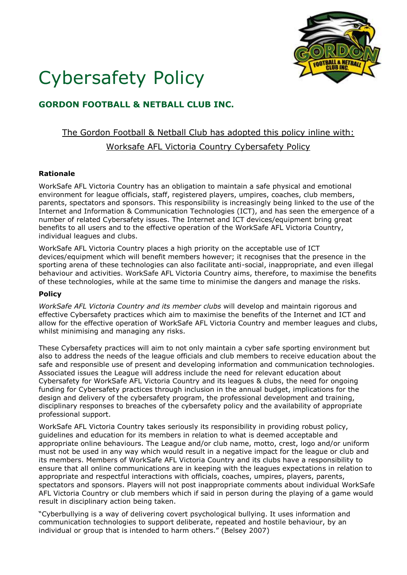

# Cybersafety Policy

### **GORDON FOOTBALL & NETBALL CLUB INC.**

## The Gordon Football & Netball Club has adopted this policy inline with: Worksafe AFL Victoria Country Cybersafety Policy

#### **Rationale**

WorkSafe AFL Victoria Country has an obligation to maintain a safe physical and emotional environment for league officials, staff, registered players, umpires, coaches, club members, parents, spectators and sponsors. This responsibility is increasingly being linked to the use of the Internet and Information & Communication Technologies (ICT), and has seen the emergence of a number of related Cybersafety issues. The Internet and ICT devices/equipment bring great benefits to all users and to the effective operation of the WorkSafe AFL Victoria Country, individual leagues and clubs.

WorkSafe AFL Victoria Country places a high priority on the acceptable use of ICT devices/equipment which will benefit members however; it recognises that the presence in the sporting arena of these technologies can also facilitate anti-social, inappropriate, and even illegal behaviour and activities. WorkSafe AFL Victoria Country aims, therefore, to maximise the benefits of these technologies, while at the same time to minimise the dangers and manage the risks.

#### **Policy**

*WorkSafe AFL Victoria Country and its member clubs* will develop and maintain rigorous and effective Cybersafety practices which aim to maximise the benefits of the Internet and ICT and allow for the effective operation of WorkSafe AFL Victoria Country and member leagues and clubs, whilst minimising and managing any risks.

These Cybersafety practices will aim to not only maintain a cyber safe sporting environment but also to address the needs of the league officials and club members to receive education about the safe and responsible use of present and developing information and communication technologies. Associated issues the League will address include the need for relevant education about Cybersafety for WorkSafe AFL Victoria Country and its leagues & clubs, the need for ongoing funding for Cybersafety practices through inclusion in the annual budget, implications for the design and delivery of the cybersafety program, the professional development and training, disciplinary responses to breaches of the cybersafety policy and the availability of appropriate professional support.

WorkSafe AFL Victoria Country takes seriously its responsibility in providing robust policy, guidelines and education for its members in relation to what is deemed acceptable and appropriate online behaviours. The League and/or club name, motto, crest, logo and/or uniform must not be used in any way which would result in a negative impact for the league or club and its members. Members of WorkSafe AFL Victoria Country and its clubs have a responsibility to ensure that all online communications are in keeping with the leagues expectations in relation to appropriate and respectful interactions with officials, coaches, umpires, players, parents, spectators and sponsors. Players will not post inappropriate comments about individual WorkSafe AFL Victoria Country or club members which if said in person during the playing of a game would result in disciplinary action being taken.

"Cyberbullying is a way of delivering covert psychological bullying. It uses information and communication technologies to support deliberate, repeated and hostile behaviour, by an individual or group that is intended to harm others." (Belsey 2007)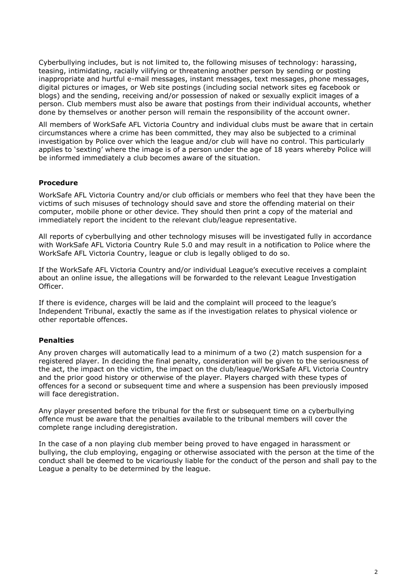Cyberbullying includes, but is not limited to, the following misuses of technology: harassing, teasing, intimidating, racially vilifying or threatening another person by sending or posting inappropriate and hurtful e-mail messages, instant messages, text messages, phone messages, digital pictures or images, or Web site postings (including social network sites eg facebook or blogs) and the sending, receiving and/or possession of naked or sexually explicit images of a person. Club members must also be aware that postings from their individual accounts, whether done by themselves or another person will remain the responsibility of the account owner.

All members of WorkSafe AFL Victoria Country and individual clubs must be aware that in certain circumstances where a crime has been committed, they may also be subjected to a criminal investigation by Police over which the league and/or club will have no control. This particularly applies to 'sexting' where the image is of a person under the age of 18 years whereby Police will be informed immediately a club becomes aware of the situation.

#### **Procedure**

WorkSafe AFL Victoria Country and/or club officials or members who feel that they have been the victims of such misuses of technology should save and store the offending material on their computer, mobile phone or other device. They should then print a copy of the material and immediately report the incident to the relevant club/league representative.

All reports of cyberbullying and other technology misuses will be investigated fully in accordance with WorkSafe AFL Victoria Country Rule 5.0 and may result in a notification to Police where the WorkSafe AFL Victoria Country, league or club is legally obliged to do so.

If the WorkSafe AFL Victoria Country and/or individual League's executive receives a complaint about an online issue, the allegations will be forwarded to the relevant League Investigation Officer.

If there is evidence, charges will be laid and the complaint will proceed to the league's Independent Tribunal, exactly the same as if the investigation relates to physical violence or other reportable offences.

#### **Penalties**

Any proven charges will automatically lead to a minimum of a two (2) match suspension for a registered player. In deciding the final penalty, consideration will be given to the seriousness of the act, the impact on the victim, the impact on the club/league/WorkSafe AFL Victoria Country and the prior good history or otherwise of the player. Players charged with these types of offences for a second or subsequent time and where a suspension has been previously imposed will face deregistration.

Any player presented before the tribunal for the first or subsequent time on a cyberbullying offence must be aware that the penalties available to the tribunal members will cover the complete range including deregistration.

In the case of a non playing club member being proved to have engaged in harassment or bullying, the club employing, engaging or otherwise associated with the person at the time of the conduct shall be deemed to be vicariously liable for the conduct of the person and shall pay to the League a penalty to be determined by the league.